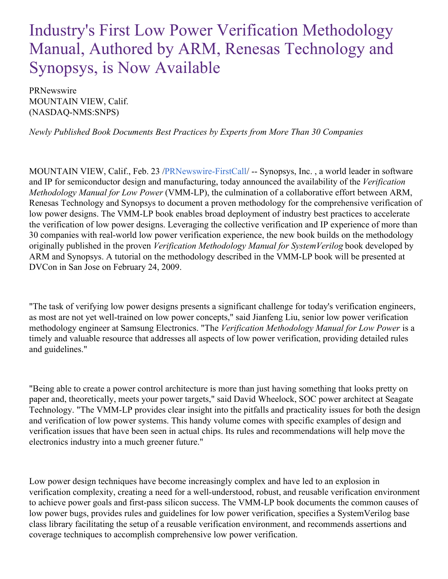# Industry's First Low Power Verification Methodology Manual, Authored by ARM, Renesas Technology and Synopsys, is Now Available

PRNewswire MOUNTAIN VIEW, Calif. (NASDAQ-NMS:SNPS)

*Newly Published Book Documents Best Practices by Experts from More Than 30 Companies*

MOUNTAIN VIEW, Calif., Feb. 23 [/PRNewswire-FirstCall](http://www.prnewswire.com/)/ -- Synopsys, Inc. , a world leader in software and IP for semiconductor design and manufacturing, today announced the availability of the *Verification Methodology Manual for Low Power* (VMM-LP), the culmination of a collaborative effort between ARM, Renesas Technology and Synopsys to document a proven methodology for the comprehensive verification of low power designs. The VMM-LP book enables broad deployment of industry best practices to accelerate the verification of low power designs. Leveraging the collective verification and IP experience of more than 30 companies with real-world low power verification experience, the new book builds on the methodology originally published in the proven *Verification Methodology Manual for SystemVerilog* book developed by ARM and Synopsys. A tutorial on the methodology described in the VMM-LP book will be presented at DVCon in San Jose on February 24, 2009.

"The task of verifying low power designs presents a significant challenge for today's verification engineers, as most are not yet well-trained on low power concepts," said Jianfeng Liu, senior low power verification methodology engineer at Samsung Electronics. "The *Verification Methodology Manual for Low Power* is a timely and valuable resource that addresses all aspects of low power verification, providing detailed rules and guidelines."

"Being able to create a power control architecture is more than just having something that looks pretty on paper and, theoretically, meets your power targets," said David Wheelock, SOC power architect at Seagate Technology. "The VMM-LP provides clear insight into the pitfalls and practicality issues for both the design and verification of low power systems. This handy volume comes with specific examples of design and verification issues that have been seen in actual chips. Its rules and recommendations will help move the electronics industry into a much greener future."

Low power design techniques have become increasingly complex and have led to an explosion in verification complexity, creating a need for a well-understood, robust, and reusable verification environment to achieve power goals and first-pass silicon success. The VMM-LP book documents the common causes of low power bugs, provides rules and guidelines for low power verification, specifies a SystemVerilog base class library facilitating the setup of a reusable verification environment, and recommends assertions and coverage techniques to accomplish comprehensive low power verification.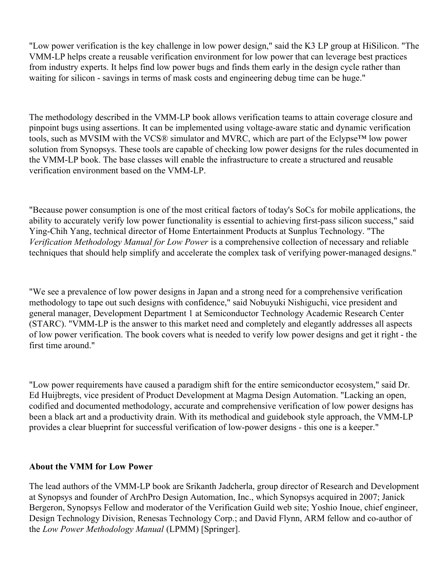"Low power verification is the key challenge in low power design," said the K3 LP group at HiSilicon. "The VMM-LP helps create a reusable verification environment for low power that can leverage best practices from industry experts. It helps find low power bugs and finds them early in the design cycle rather than waiting for silicon - savings in terms of mask costs and engineering debug time can be huge."

The methodology described in the VMM-LP book allows verification teams to attain coverage closure and pinpoint bugs using assertions. It can be implemented using voltage-aware static and dynamic verification tools, such as MVSIM with the VCS® simulator and MVRC, which are part of the Eclypse™ low power solution from Synopsys. These tools are capable of checking low power designs for the rules documented in the VMM-LP book. The base classes will enable the infrastructure to create a structured and reusable verification environment based on the VMM-LP.

"Because power consumption is one of the most critical factors of today's SoCs for mobile applications, the ability to accurately verify low power functionality is essential to achieving first-pass silicon success," said Ying-Chih Yang, technical director of Home Entertainment Products at Sunplus Technology. "The *Verification Methodology Manual for Low Power* is a comprehensive collection of necessary and reliable techniques that should help simplify and accelerate the complex task of verifying power-managed designs."

"We see a prevalence of low power designs in Japan and a strong need for a comprehensive verification methodology to tape out such designs with confidence," said Nobuyuki Nishiguchi, vice president and general manager, Development Department 1 at Semiconductor Technology Academic Research Center (STARC). "VMM-LP is the answer to this market need and completely and elegantly addresses all aspects of low power verification. The book covers what is needed to verify low power designs and get it right - the first time around."

"Low power requirements have caused a paradigm shift for the entire semiconductor ecosystem," said Dr. Ed Huijbregts, vice president of Product Development at Magma Design Automation. "Lacking an open, codified and documented methodology, accurate and comprehensive verification of low power designs has been a black art and a productivity drain. With its methodical and guidebook style approach, the VMM-LP provides a clear blueprint for successful verification of low-power designs - this one is a keeper."

## **About the VMM for Low Power**

The lead authors of the VMM-LP book are Srikanth Jadcherla, group director of Research and Development at Synopsys and founder of ArchPro Design Automation, Inc., which Synopsys acquired in 2007; Janick Bergeron, Synopsys Fellow and moderator of the Verification Guild web site; Yoshio Inoue, chief engineer, Design Technology Division, Renesas Technology Corp.; and David Flynn, ARM fellow and co-author of the *Low Power Methodology Manual* (LPMM) [Springer].